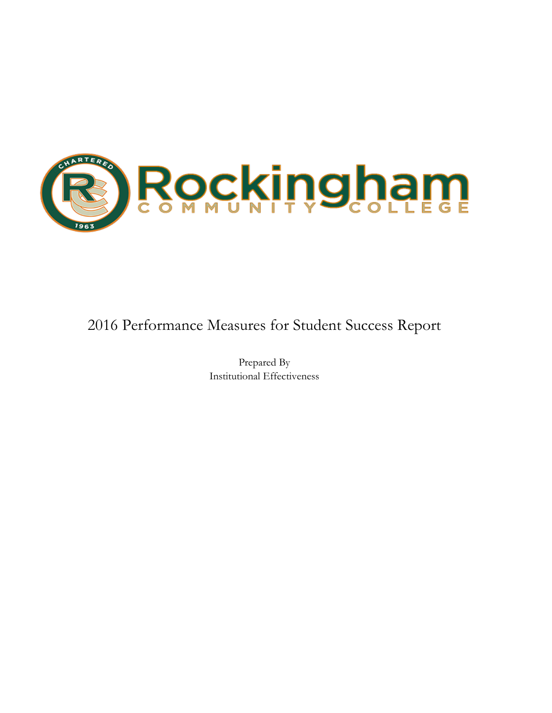

## 2016 Performance Measures for Student Success Report

Prepared By Institutional Effectiveness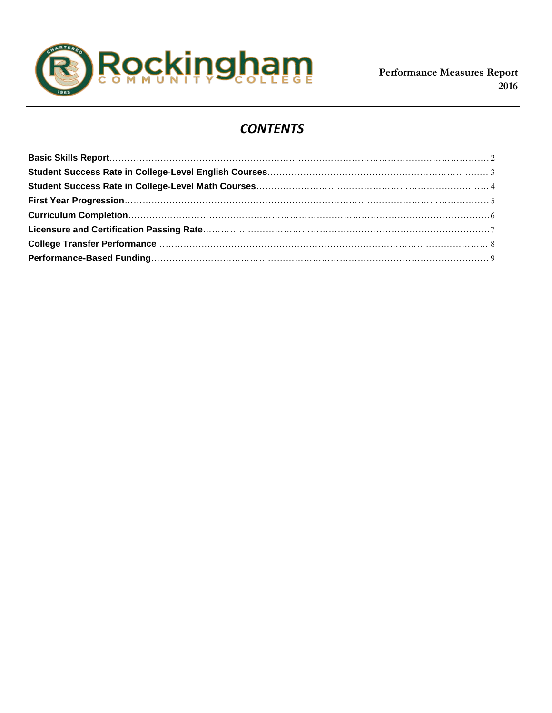

## *CONTENTS*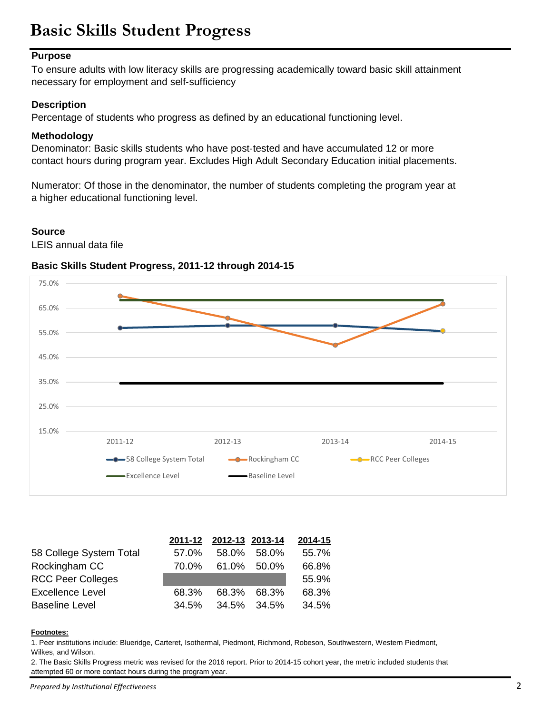# **Basic Skills Student Progress**

## **Purpose**

To ensure adults with low literacy skills are progressing academically toward basic skill attainment necessary for employment and self‐sufficiency

## **Description**

Percentage of students who progress as defined by an educational functioning level.

## **Methodology**

Denominator: Basic skills students who have post‐tested and have accumulated 12 or more contact hours during program year. Excludes High Adult Secondary Education initial placements.

Numerator: Of those in the denominator, the number of students completing the program year at a higher educational functioning level.

### **Source**

LEIS annual data file

## **Basic Skills Student Progress, 2011-12 through 2014-15**



|                          |       | 2011-12 2012-13 2013-14 |             | 2014-15 |
|--------------------------|-------|-------------------------|-------------|---------|
| 58 College System Total  | 57.0% | 58.0%                   | 58.0%       | 55.7%   |
| Rockingham CC            | 70.0% |                         | 61.0% 50.0% | 66.8%   |
| <b>RCC Peer Colleges</b> |       |                         |             | 55.9%   |
| <b>Excellence Level</b>  | 68.3% | 68.3%                   | 68.3%       | 68.3%   |
| <b>Baseline Level</b>    | 34.5% |                         | 34.5% 34.5% | 34.5%   |

#### **Footnotes:**

1. Peer institutions include: Blueridge, Carteret, Isothermal, Piedmont, Richmond, Robeson, Southwestern, Western Piedmont, Wilkes, and Wilson.

2. The Basic Skills Progress metric was revised for the 2016 report. Prior to 2014-15 cohort year, the metric included students that attempted 60 or more contact hours during the program year.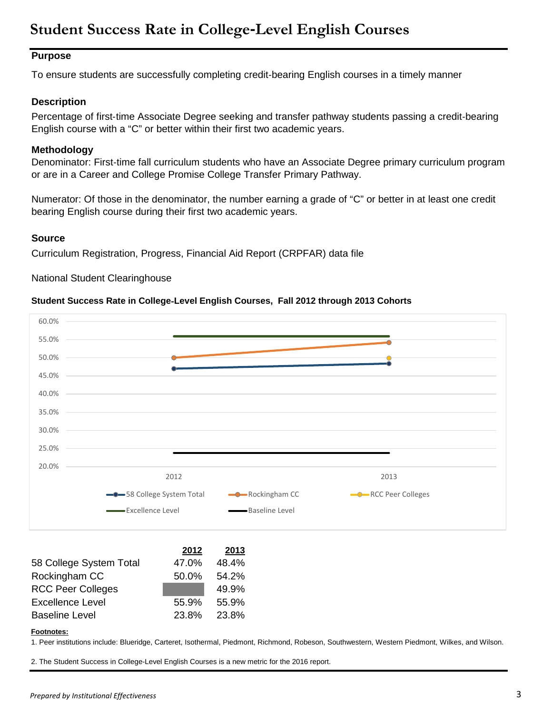## **Student Success Rate in College**‐**Level English Courses**

## **Purpose**

To ensure students are successfully completing credit‐bearing English courses in a timely manner

## **Description**

Percentage of first-time Associate Degree seeking and transfer pathway students passing a credit-bearing English course with a "C" or better within their first two academic years.

## **Methodology**

Denominator: First-time fall curriculum students who have an Associate Degree primary curriculum program or are in a Career and College Promise College Transfer Primary Pathway.

Numerator: Of those in the denominator, the number earning a grade of "C" or better in at least one credit bearing English course during their first two academic years.

### **Source**

Curriculum Registration, Progress, Financial Aid Report (CRPFAR) data file

National Student Clearinghouse

### **Student Success Rate in College**‐**Level English Courses, Fall 2012 through 2013 Cohorts**



|                          | 2012  | 2013  |
|--------------------------|-------|-------|
| 58 College System Total  | 47.0% | 48.4% |
| Rockingham CC            | 50.0% | 54.2% |
| <b>RCC Peer Colleges</b> |       | 49.9% |
| <b>Excellence Level</b>  | 55.9% | 55.9% |
| <b>Baseline Level</b>    | 23.8% | 23.8% |

#### **Footnotes:**

1. Peer institutions include: Blueridge, Carteret, Isothermal, Piedmont, Richmond, Robeson, Southwestern, Western Piedmont, Wilkes, and Wilson.

2. The Student Success in College-Level English Courses is a new metric for the 2016 report.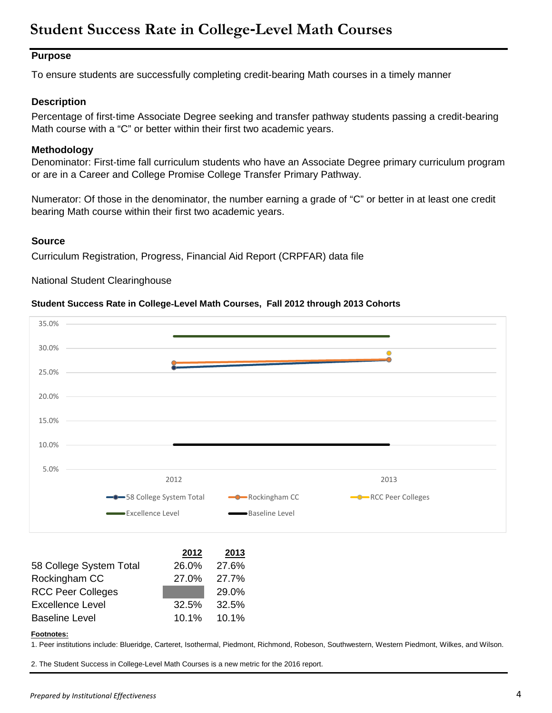## **Student Success Rate in College**‐**Level Math Courses**

## **Purpose**

To ensure students are successfully completing credit‐bearing Math courses in a timely manner

## **Description**

Percentage of first-time Associate Degree seeking and transfer pathway students passing a credit-bearing Math course with a "C" or better within their first two academic years.

## **Methodology**

Denominator: First-time fall curriculum students who have an Associate Degree primary curriculum program or are in a Career and College Promise College Transfer Primary Pathway.

Numerator: Of those in the denominator, the number earning a grade of "C" or better in at least one credit bearing Math course within their first two academic years.

## **Source**

Curriculum Registration, Progress, Financial Aid Report (CRPFAR) data file

National Student Clearinghouse

## **Student Success Rate in College**‐**Level Math Courses, Fall 2012 through 2013 Cohorts**



|                          | 2012  | 2013  |
|--------------------------|-------|-------|
| 58 College System Total  | 26.0% | 27.6% |
| Rockingham CC            | 27.0% | 27.7% |
| <b>RCC Peer Colleges</b> |       | 29.0% |
| <b>Excellence Level</b>  | 32.5% | 32.5% |
| <b>Baseline Level</b>    | 10.1% | 10.1% |

#### **Footnotes:**

1. Peer institutions include: Blueridge, Carteret, Isothermal, Piedmont, Richmond, Robeson, Southwestern, Western Piedmont, Wilkes, and Wilson.

2. The Student Success in College-Level Math Courses is a new metric for the 2016 report.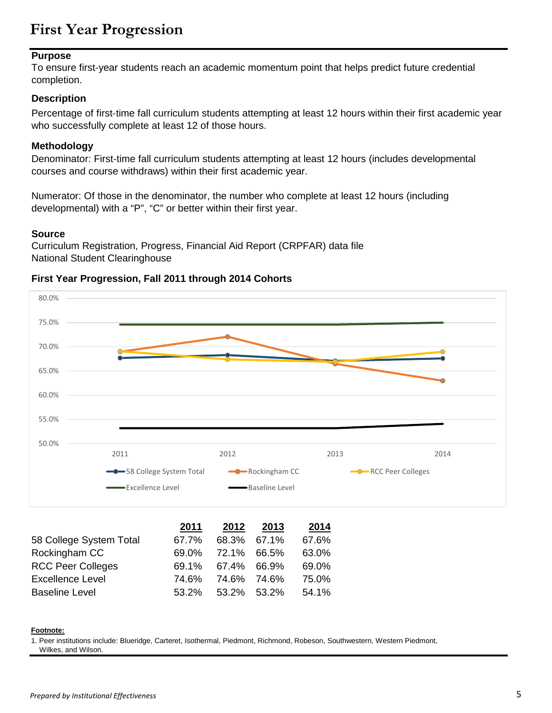## **First Year Progression**

### **Purpose**

To ensure first‐year students reach an academic momentum point that helps predict future credential completion.

## **Description**

Percentage of first‐time fall curriculum students attempting at least 12 hours within their first academic year who successfully complete at least 12 of those hours.

## **Methodology**

Denominator: First-time fall curriculum students attempting at least 12 hours (includes developmental courses and course withdraws) within their first academic year.

Numerator: Of those in the denominator, the number who complete at least 12 hours (including developmental) with a "P", "C" or better within their first year.

### **Source**

Curriculum Registration, Progress, Financial Aid Report (CRPFAR) data file National Student Clearinghouse

## **First Year Progression, Fall 2011 through 2014 Cohorts**



#### **Footnote:**

1. Peer institutions include: Blueridge, Carteret, Isothermal, Piedmont, Richmond, Robeson, Southwestern, Western Piedmont, Wilkes, and Wilson.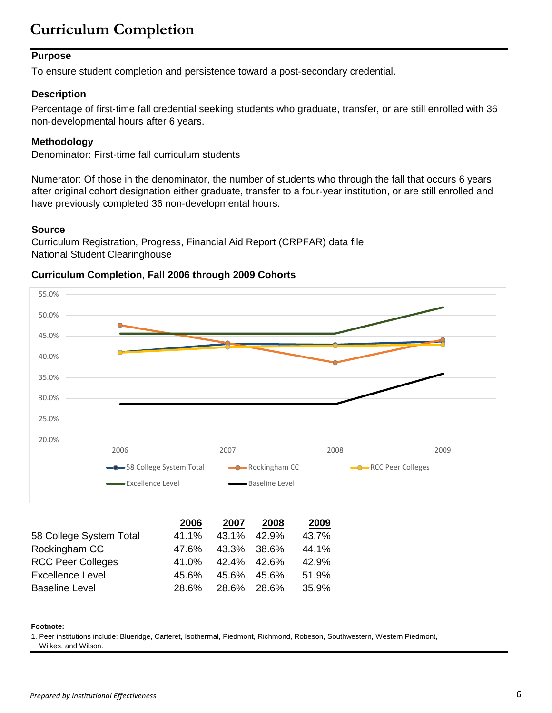# **Curriculum Completion**

## **Purpose**

To ensure student completion and persistence toward a post‐secondary credential.

## **Description**

Percentage of first‐time fall credential seeking students who graduate, transfer, or are still enrolled with 36 non‐developmental hours after 6 years.

## **Methodology**

Denominator: First-time fall curriculum students

Numerator: Of those in the denominator, the number of students who through the fall that occurs 6 years after original cohort designation either graduate, transfer to a four‐year institution, or are still enrolled and have previously completed 36 non‐developmental hours.

## **Source**

Curriculum Registration, Progress, Financial Aid Report (CRPFAR) data file National Student Clearinghouse

## **Curriculum Completion, Fall 2006 through 2009 Cohorts**



#### **Footnote:**

1. Peer institutions include: Blueridge, Carteret, Isothermal, Piedmont, Richmond, Robeson, Southwestern, Western Piedmont,

Baseline Level 28.6% 28.6% 28.6% 35.9%

Wilkes, and Wilson.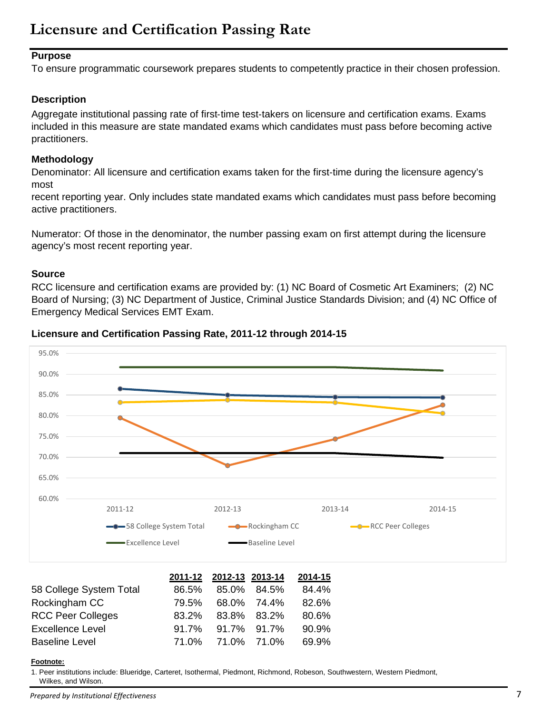## **Purpose**

To ensure programmatic coursework prepares students to competently practice in their chosen profession.

## **Description**

Aggregate institutional passing rate of first-time test-takers on licensure and certification exams. Exams included in this measure are state mandated exams which candidates must pass before becoming active practitioners.

## **Methodology**

Denominator: All licensure and certification exams taken for the first-time during the licensure agency's most

recent reporting year. Only includes state mandated exams which candidates must pass before becoming active practitioners.

Numerator: Of those in the denominator, the number passing exam on first attempt during the licensure agency's most recent reporting year.

## **Source**

RCC licensure and certification exams are provided by: (1) NC Board of Cosmetic Art Examiners; (2) NC Board of Nursing; (3) NC Department of Justice, Criminal Justice Standards Division; and (4) NC Office of Emergency Medical Services EMT Exam.





|                          |       | 2011-12 2012-13 2013-14 |             | 2014-15 |
|--------------------------|-------|-------------------------|-------------|---------|
| 58 College System Total  | 86.5% |                         | 85.0% 84.5% | 84.4%   |
| Rockingham CC            | 79.5% |                         | 68.0% 74.4% | 82.6%   |
| <b>RCC Peer Colleges</b> | 83.2% |                         | 83.8% 83.2% | 80.6%   |
| <b>Excellence Level</b>  | 91.7% |                         | 91.7% 91.7% | 90.9%   |
| <b>Baseline Level</b>    |       | 71.0% 71.0% 71.0%       |             | 69.9%   |

#### **Footnote:**

1. Peer institutions include: Blueridge, Carteret, Isothermal, Piedmont, Richmond, Robeson, Southwestern, Western Piedmont, Wilkes, and Wilson.

*Prepared by Institutional Effectiveness* 7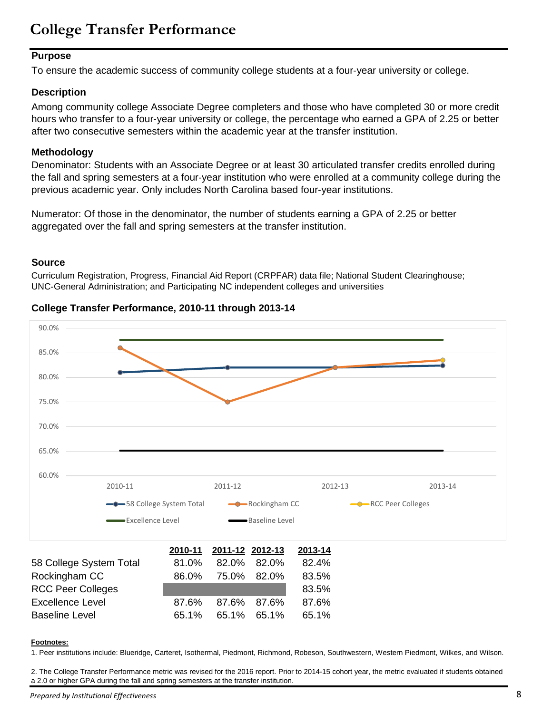## **College Transfer Performance**

## **Purpose**

To ensure the academic success of community college students at a four‐year university or college.

## **Description**

Among community college Associate Degree completers and those who have completed 30 or more credit hours who transfer to a four‐year university or college, the percentage who earned a GPA of 2.25 or better after two consecutive semesters within the academic year at the transfer institution.

## **Methodology**

Denominator: Students with an Associate Degree or at least 30 articulated transfer credits enrolled during the fall and spring semesters at a four‐year institution who were enrolled at a community college during the previous academic year. Only includes North Carolina based four‐year institutions.

Numerator: Of those in the denominator, the number of students earning a GPA of 2.25 or better aggregated over the fall and spring semesters at the transfer institution.

### **Source**

Curriculum Registration, Progress, Financial Aid Report (CRPFAR) data file; National Student Clearinghouse; UNC‐General Administration; and Participating NC independent colleges and universities

## **College Transfer Performance, 2010-11 through 2013-14**

Baseline Level 65.1% 65.1% 65.1% 65.1%



#### **Footnotes:**

1. Peer institutions include: Blueridge, Carteret, Isothermal, Piedmont, Richmond, Robeson, Southwestern, Western Piedmont, Wilkes, and Wilson.

2. The College Transfer Performance metric was revised for the 2016 report. Prior to 2014-15 cohort year, the metric evaluated if students obtained a 2.0 or higher GPA during the fall and spring semesters at the transfer institution.